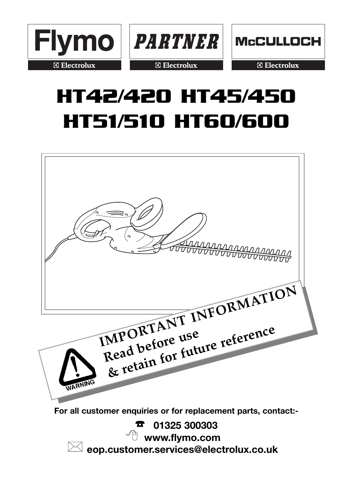

**PARTNER** 

**Electrolux** 



**Electrolux** 

# **HT42/420 HT45/450 HT51/510 HT60/600**



☎ **01325 300303**  $\mathrm{^{\prime}}\mathbb{C}\;\;$ www.flvmo.com **eop.customer.services@electrolux.co.uk**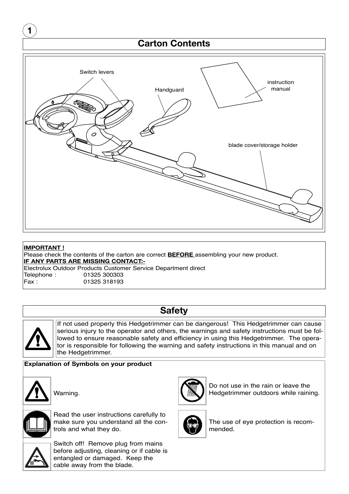

Electrolux Outdoor Products Customer Service Department direct Telephone : 01325 300303 01325 318193

# **Safety**

If not used properly this Hedgetrimmer can be dangerous! This Hedgetrimmer can cause serious injury to the operator and others, the warnings and safety instructions must be followed to ensure reasonable safety and efficiency in using this Hedgetrimmer. The operator is responsible for following the warning and safety instructions in this manual and on the Hedgetrimmer.

### **Explanation of Symbols on your product**



Warning.



Read the user instructions carefully to make sure you understand all the controls and what they do.



Switch off! Remove plug from mains before adjusting, cleaning or if cable is entangled or damaged. Keep the cable away from the blade.



Do not use in the rain or leave the Hedgetrimmer outdoors while raining.



The use of eye protection is recommended.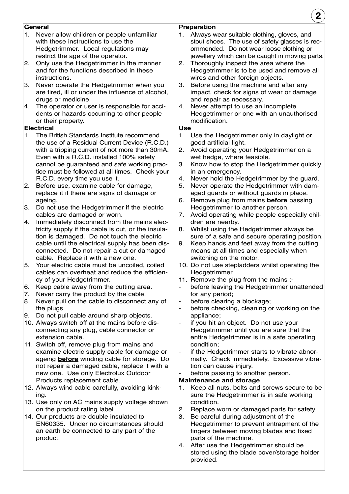### **General**

- 1. Never allow children or people unfamiliar with these instructions to use the Hedgetrimmer. Local regulations may restrict the age of the operator.
- 2. Only use the Hedgetrimmer in the manner and for the functions described in these instructions.
- 3. Never operate the Hedgetrimmer when you are tired, ill or under the influence of alcohol, drugs or medicine.
- 4. The operator or user is responsible for accidents or hazards occurring to other people or their property.

### **Electrical**

- 1. The British Standards Institute recommend the use of a Residual Current Device (R.C.D.) with a tripping current of not more than 30mA. Even with a R.C.D. installed 100% safety cannot be guaranteed and safe working practice must be followed at all times. Check your R.C.D. every time you use it.
- 2. Before use, examine cable for damage, replace it if there are signs of damage or ageing.
- 3. Do not use the Hedgetrimmer if the electric cables are damaged or worn.
- 4. Immediately disconnect from the mains electricity supply if the cable is cut, or the insulation is damaged. Do not touch the electric cable until the electrical supply has been disconnected. Do not repair a cut or damaged cable. Replace it with a new one.
- 5. Your electric cable must be uncoiled, coiled cables can overheat and reduce the efficiency of your Hedgetrimmer.
- 6. Keep cable away from the cutting area.
- 7. Never carry the product by the cable.
- 8. Never pull on the cable to disconnect any of the plugs
- 9. Do not pull cable around sharp objects.
- 10. Always switch off at the mains before disconnecting any plug, cable connector or extension cable.
- 11. Switch off, remove plug from mains and examine electric supply cable for damage or ageing **before** winding cable for storage. Do not repair a damaged cable, replace it with a new one. Use only Electrolux Outdoor Products replacement cable.
- 12. Always wind cable carefully, avoiding kinking.
- 13. Use only on AC mains supply voltage shown on the product rating label.
- 14. Our products are double insulated to EN60335. Under no circumstances should an earth be connected to any part of the product.

### **Preparation**

- 1. Always wear suitable clothing, gloves, and stout shoes. The use of safety glasses is recommended. Do not wear loose clothing or jewellery which can be caught in moving parts.
- 2. Thoroughly inspect the area where the Hedgetrimmer is to be used and remove all wires and other foreign objects.
- 3. Before using the machine and after any impact, check for signs of wear or damage and repair as necessary.
- 4. Never attempt to use an incomplete Hedgetrimmer or one with an unauthorised modification.

### **Use**

- 1. Use the Hedgetrimmer only in daylight or good artificial light.
- 2. Avoid operating your Hedgetrimmer on a wet hedge, where feasible.
- 3. Know how to stop the Hedgetrimmer quickly in an emergency.
- 4. Never hold the Hedgetrimmer by the guard.
- 5. Never operate the Hedgetrimmer with damaged guards or without guards in place.
- 6. Remove plug from mains **before** passing Hedgetrimmer to another person.
- 7. Avoid operating while people especially children are nearby.
- 8. Whilst using the Hedgetrimmer always be sure of a safe and secure operating position.
- 9. Keep hands and feet away from the cutting means at all times and especially when switching on the motor.
- 10. Do not use stepladders whilst operating the Hedgetrimmer.
- 11. Remove the plug from the mains :-
- before leaving the Hedgetrimmer unattended for any period;
- before clearing a blockage;
- before checking, cleaning or working on the appliance;
- if you hit an object. Do not use your Hedgetrimmer until you are sure that the entire Hedgetrimmer is in a safe operating condition;
- if the Hedgetrimmer starts to vibrate abnormally. Check immediately. Excessive vibration can cause injury.
- before passing to another person.

### **Maintenance and storage**

- Keep all nuts, bolts and screws secure to be sure the Hedgetrimmer is in safe working condition.
- 2. Replace worn or damaged parts for safety.
- 3. Be careful during adjustment of the Hedgetrimmer to prevent entrapment of the fingers between moving blades and fixed parts of the machine.
- 4. After use the Hedgetrimmer should be stored using the blade cover/storage holder provided.

**2**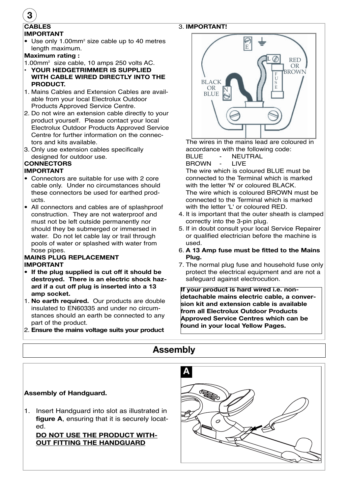### 3. **IMPORTANT!**

### **CABLES IMPORTANT**

**•** Use only 1.00mm2 size cable up to 40 metres length maximum.

### **Maximum rating :**

- 1.00mm2 size cable, 10 amps 250 volts AC.
- **YOUR HEDGETRIMMER IS SUPPLIED WITH CABLE WIRED DIRECTLY INTO THE PRODUCT.**
- 1. Mains Cables and Extension Cables are available from your local Electrolux Outdoor Products Approved Service Centre.
- 2. Do not wire an extension cable directly to your product yourself. Please contact your local Electrolux Outdoor Products Approved Service Centre for further information on the connectors and kits available.
- 3. Only use extension cables specifically designed for outdoor use.

# **CONNECTORS**

### **IMPORTANT**

- **•** Connectors are suitable for use with 2 core cable only. Under no circumstances should these connectors be used for earthed products.
- **•** All connectors and cables are of splashproof construction. They are not waterproof and must not be left outside permanently nor should they be submerged or immersed in water. Do not let cable lay or trail through pools of water or splashed with water from hose pipes.

### **MAINS PLUG REPLACEMENT IMPORTANT**

- **If the plug supplied is cut off it should be destroyed. There is an electric shock hazard if a cut off plug is inserted into a 13 amp socket.**
- 1. **No earth required.** Our products are double insulated to EN60335 and under no circumstances should an earth be connected to any part of the product.
- 2. **Ensure the mains voltage suits your product**



The wires in the mains lead are coloured in accordance with the following code:

BLUE - NEUTRAL<br>BROWN - LIVE

**BROWN** 

The wire which is coloured BLUE must be connected to the Terminal which is marked with the letter 'N' or coloured BLACK. The wire which is coloured BROWN must be connected to the Terminal which is marked with the letter 'L' or coloured RED.

- 4. It is important that the outer sheath is clamped correctly into the 3-pin plug.
- 5. If in doubt consult your local Service Repairer or qualified electrician before the machine is used.
- 6. **A 13 Amp fuse must be fitted to the Mains Plug.**
- 7. The normal plug fuse and household fuse only protect the electrical equipment and are not a safeguard against electrocution.

**If your product is hard wired i.e. nondetachable mains electric cable, a conversion kit and extension cable is available from all Electrolux Outdoor Products Approved Service Centres which can be found in your local Yellow Pages.**

# **Assembly**

### **Assembly of Handguard.**

1. Insert Handguard into slot as illustrated in **figure A**, ensuring that it is securely located.

**DO NOT USE THE PRODUCT WITH-OUT FITTING THE HANDGUARD**



### **3**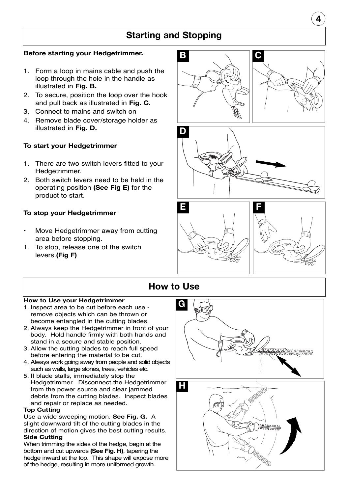# **Starting and Stopping**

### **Before starting your Hedgetrimmer.**

- 1. Form a loop in mains cable and push the loop through the hole in the handle as illustrated in **Fig. B.**
- 2. To secure, position the loop over the hook and pull back as illustrated in **Fig. C.**
- 3. Connect to mains and switch on
- 4. Remove blade cover/storage holder as illustrated in **Fig. D.**

### **To start your Hedgetrimmer**

- 1. There are two switch levers fitted to your Hedgetrimmer.
- 2. Both switch levers need to be held in the operating position **(See Fig E)** for the product to start.

### **To stop your Hedgetrimmer**

- Move Hedgetrimmer away from cutting area before stopping.
- 1. To stop, release one of the switch levers.**(Fig F)**



**4**





# **How to Use**

### **How to Use your Hedgetrimmer**

- 1. Inspect area to be cut before each use remove objects which can be thrown or become entangled in the cutting blades.
- 2. Always keep the Hedgetrimmer in front of your body. Hold handle firmly with both hands and stand in a secure and stable position.
- 3. Allow the cutting blades to reach full speed before entering the material to be cut.
- 4. Always work going away from people and solid objects such as walls, large stones, trees, vehicles etc.
- 5. If blade stalls, immediately stop the Hedgetrimmer. Disconnect the Hedgetrimmer from the power source and clear jammed debris from the cutting blades. Inspect blades and repair or replace as needed.

### **Top Cutting**

Use a wide sweeping motion. **See Fig. G.** A slight downward tilt of the cutting blades in the direction of motion gives the best cutting results. **Side Cutting**

When trimming the sides of the hedge, begin at the bottom and cut upwards **(See Fig. H)**, tapering the hedge inward at the top. This shape will expose more of the hedge, resulting in more uniformed growth.

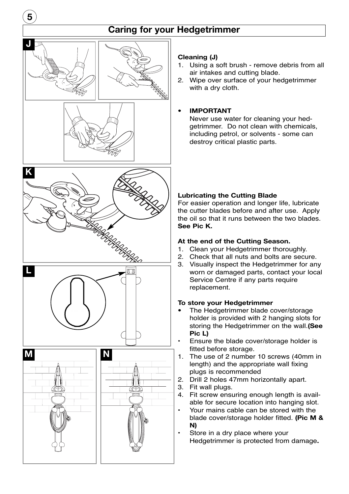# **Caring for your Hedgetrimmer**



**5**









### **Cleaning (J)**

- 1. Using a soft brush remove debris from all air intakes and cutting blade.
- 2. Wipe over surface of your hedgetrimmer with a dry cloth.

### **• IMPORTANT**

Never use water for cleaning your hedgetrimmer. Do not clean with chemicals, including petrol, or solvents - some can destroy critical plastic parts.

### **Lubricating the Cutting Blade**

For easier operation and longer life, lubricate the cutter blades before and after use. Apply the oil so that it runs between the two blades. **See Pic K.**

### **At the end of the Cutting Season.**

- 1. Clean your Hedgetrimmer thoroughly.
- 2. Check that all nuts and bolts are secure.
- 3. Visually inspect the Hedgetrimmer for any worn or damaged parts, contact your local Service Centre if any parts require replacement.

### **To store your Hedgetrimmer**

- **•** The Hedgetrimmer blade cover/storage holder is provided with 2 hanging slots for storing the Hedgetrimmer on the wall.**(See Pic L)**
- Ensure the blade cover/storage holder is fitted before storage.
- 1. The use of 2 number 10 screws (40mm in length) and the appropriate wall fixing plugs is recommended
- 2. Drill 2 holes 47mm horizontally apart.
- 3. Fit wall plugs.
- 4. Fit screw ensuring enough length is available for secure location into hanging slot.
- Your mains cable can be stored with the blade cover/storage holder fitted. **(Pic M & N)**
- Store in a dry place where your Hedgetrimmer is protected from damage**.**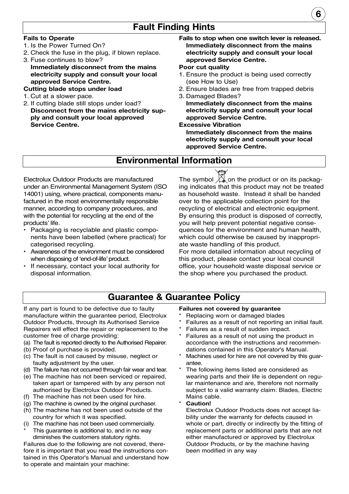## **Fault Finding Hints**

### **Fails to Operate**

- 1. Is the Power Turned On?
- 2. Check the fuse in the plug, if blown replace.
- 3. Fuse continues to blow? **Immediately disconnect from the mains electricity supply and consult your local approved Service Centre.**

### **Cutting blade stops under load**

- 1. Cut at a slower pace.
- 2. If cutting blade still stops under load? **Disconnect from the mains electricity supply and consult your local approved Service Centre.**
- **Fails to stop when one switch lever is released. Immediately disconnect from the mains electricity supply and consult your local approved Service Centre.**

### **Poor cut quality**

- 1. Ensure the product is being used correctly (see How to Use)
- 2. Ensure blades are free from trapped debris
- 3. Damaged Blades? **Immediately disconnect from the mains electricity supply and consult your local approved Service Centre.**

### **Excessive Vibration**

**Immediately disconnect from the mains electricity supply and consult your local approved Service Centre.**

### **Environmental Information**

Electrolux Outdoor Products are manufactured under an Environmental Management System (ISO 14001) using, where practical, components manufactured in the most environmentally responsible manner, according to company procedures, and with the potential for recycling at the end of the products' life.

- Packaging is recyclable and plastic components have been labelled (where practical) for categorised recycling.
- Awareness of the environment must be considered when disposing of 'end-of-life' product.
- If necessary, contact your local authority for disposal information.

The symbol  $\lambda$  on the product or on its packaging indicates that this product may not be treated as household waste. Instead it shall be handed over to the applicable collection point for the recycling of electrical and electronic equipment. By ensuring this product is disposed of correctly, you will help prevent potential negative consequences for the environment and human health, which could otherwise be caused by inappropriate waste handling of this product.

For more detailed information about recycling of this product, please contact your local council office, your household waste disposal service or the shop where you purchased the product.

# **Guarantee & Guarantee Policy**

If any part is found to be defective due to faulty manufacture within the guarantee period, Electrolux Outdoor Products, through its Authorised Service Repairers will effect the repair or replacement to the customer free of charge providing:

- (a) The fault is reported directly to the Authorised Repairer.
- (b) Proof of purchase is provided.
- (c) The fault is not caused by misuse, neglect or faulty adjustment by the user.
- (d) The failure has not occurred through fair wear and tear.
- (e) The machine has not been serviced or repaired, taken apart or tampered with by any person not authorised by Electrolux Outdoor Products.
- (f) The machine has not been used for hire.
- (g) The machine is owned by the original purchaser.
- (h) The machine has not been used outside of the country for which it was specified.
- (i) The machine has not been used commercially.
- This guarantee is additional to, and in no way diminishes the customers statutory rights.

Failures due to the following are not covered, therefore it is important that you read the instructions contained in this Operator's Manual and understand how to operate and maintain your machine:

### **Failures not covered by guarantee**

- Replacing worn or damaged blades
- Failures as a result of not reporting an initial fault.
- Failures as a result of sudden impact.
- Failures as a result of not using the product in accordance with the instructions and recommendations contained in this Operator's Manual.
- Machines used for hire are not covered by this guarantee.
- The following items listed are considered as wearing parts and their life is dependent on regular maintenance and are, therefore not normally subject to a valid warranty claim: Blades, Electric Mains cable.
- Caution!

Electrolux Outdoor Products does not accept liability under the warranty for defects caused in whole or part, directly or indirectly by the fitting of replacement parts or additional parts that are not either manufactured or approved by Electrolux Outdoor Products, or by the machine having been modified in any way

**6**